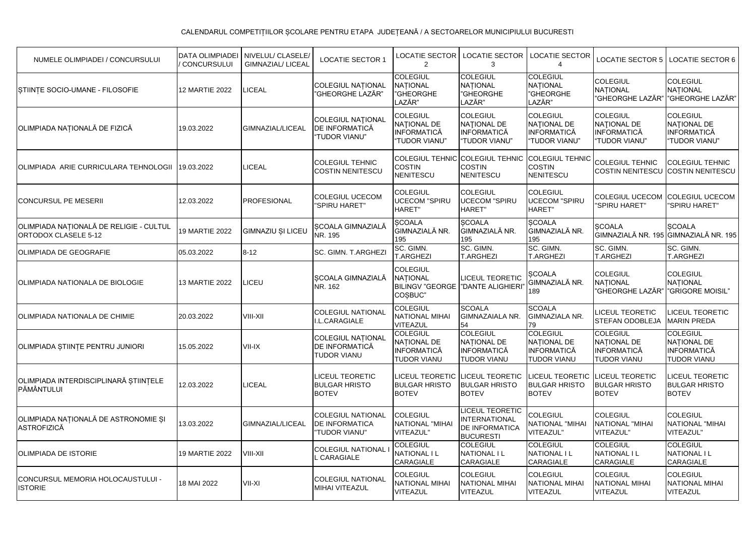| NUMELE OLIMPIADEI / CONCURSULUI                                 | <b>DATA OLIMPIADEI</b><br>CONCURSULUI | NIVELUL/ CLASELE<br><b>GIMNAZIAL/ LICEAL</b> | <b>LOCATIE SECTOR 1</b>                                            | LOCATIE SECTOR<br>$\overline{2}$                                           | <b>LOCATIE SECTOR</b><br>3                                                           | <b>LOCATIE SECTOR</b>                                                        | <b>LOCATIE SECTOR 5</b>                                               | <b>LOCATIE SECTOR 6</b>                                               |
|-----------------------------------------------------------------|---------------------------------------|----------------------------------------------|--------------------------------------------------------------------|----------------------------------------------------------------------------|--------------------------------------------------------------------------------------|------------------------------------------------------------------------------|-----------------------------------------------------------------------|-----------------------------------------------------------------------|
| STIINTE SOCIO-UMANE - FILOSOFIE                                 | 12 MARTIE 2022                        | <b>LICEAL</b>                                | <b>COLEGIUL NATIONAL</b><br>'GHEORGHE L <sup>'</sup> AZĂR"         | <b>COLEGIUL</b><br><b>NATIONAL</b><br>"GHEORGHE<br>LAZĂR"                  | <b>COLEGIUL</b><br><b>NATIONAL</b><br>"GHEORGHE<br>LAZĂR"                            | <b>COLEGIUL</b><br><b>NATIONAL</b><br>"GHEORGHE<br>LAZĂR"                    | <b>COLEGIUL</b><br><b>NATIONAL</b><br>"GHEORGHE LAZĂR"                | <b>COLEGIUL</b><br>NATIONAL<br>"GHEORGHE LAZĂR"                       |
| OLIMPIADA NAȚIONALĂ DE FIZICĂ                                   | 19.03.2022                            | GIMNAZIAL/LICEAL                             | <b>COLEGIUL NATIONAL</b><br>DE INFORMATICĂ<br><b>TUDOR VIANU"</b>  | <b>COLEGIUL</b><br>NATIONAL DE<br><b>INFORMATICĂ</b><br>"TUDOR VIANU"      | COLEGIUL<br>NATIONAL DE<br>INFORMATICĂ<br>"TUDOR VIANU"                              | <b>COLEGIUL</b><br><b>NATIONAL DE</b><br><b>INFORMATICĂ</b><br>"TUDOR VIANU" | <b>COLEGIUL</b><br>NATIONAL DE<br><b>INFORMATICĂ</b><br>"TUDOR VIANU" | <b>COLEGIUL</b><br>NATIONAL DE<br><b>INFORMATICĂ</b><br>"TUDOR VIANU" |
| OLIMPIADA ARIE CURRICULARA TEHNOLOGII                           | 19.03.2022                            | <b>LICEAL</b>                                | <b>COLEGIUL TEHNIC</b><br><b>COSTIN NENITESCU</b>                  | <b>COLEGIUL TEHNIC</b><br><b>COSTIN</b><br>NENITESCU                       | <b>COLEGIUL TEHNIC</b><br><b>COSTIN</b><br><b>NENITESCU</b>                          | <b>COLEGIUL TEHNIC</b><br><b>COSTIN</b><br><b>NENITESCU</b>                  | <b>COLEGIUL TEHNIC</b><br><b>COSTIN NENITESCU</b>                     | COLEGIUL TEHNIC<br><b>COSTIN NENITESCU</b>                            |
| <b>CONCURSUL PE MESERII</b>                                     | 12.03.2022                            | <b>PROFESIONAL</b>                           | <b>COLEGIUL UCECOM</b><br>"SPIRU HARET"                            | <b>COLEGIUL</b><br><b>UCECOM "SPIRU</b><br><b>HARET"</b>                   | <b>COLEGIUL</b><br><b>UCECOM "SPIRU</b><br>HARET"                                    | <b>COLEGIUL</b><br><b>UCECOM "SPIRU</b><br><b>HARET</b> "                    | <b>COLEGIUL UCECOM</b><br>"SPIRU HARET"                               | COLEGIUL UCECOM<br>"SPIRU HARET"                                      |
| OLIMPIADA NAȚIONALĂ DE RELIGIE - CULTUL<br>ORTODOX CLASELE 5-12 | 19 MARTIE 2022                        | GIMNAZIU ȘI LICEU                            | SCOALA GIMNAZIALĂ<br>NR. 195                                       | <b>SCOALA</b><br>GIMNAZIALĂ NR.<br>195                                     | <b>SCOALA</b><br>GIMNAZIALĂ NR.<br>195                                               | <b>SCOALA</b><br>GIMNAZIALĂ NR.<br>195                                       | <b>SCOALA</b>                                                         | <b>SCOALA</b><br>GIMNAZIALĂ NR. 195 GIMNAZIALĂ NR. 195                |
| <b>OLIMPIADA DE GEOGRAFIE</b>                                   | 05.03.2022                            | $8 - 12$                                     | SC. GIMN. T.ARGHEZI                                                | SC. GIMN.<br><b>T.ARGHEZI</b>                                              | SC. GIMN.<br><b>T.ARGHEZI</b>                                                        | SC. GIMN.<br><b>T.ARGHEZI</b>                                                | SC. GIMN.<br><b>T.ARGHEZI</b>                                         | SC. GIMN.<br><b>T.ARGHEZI</b>                                         |
| OLIMPIADA NATIONALA DE BIOLOGIE                                 | 13 MARTIE 2022                        | LICEU                                        | SCOALA GIMNAZIALĂ<br>NR. 162                                       | <b>COLEGIUL</b><br><b>NATIONAL</b><br>COSBUC"                              | <b>LICEUL TEORETIC</b><br>BILINGV "GEORGE   "DANTE ALIGHIERI"                        | <b>SCOALA</b><br>GIMNAZIALĂ NR.<br>189                                       | <b>COLEGIUL</b><br><b>NATIONAL</b><br>"GHEORGHE LAZĂR"                | <b>COLEGIUL</b><br>NATIONAL<br>"GRIGORE MOISIL"                       |
| OLIMPIADA NATIONALA DE CHIMIE                                   | 20.03.2022                            | VIII-XII                                     | <b>COLEGIUL NATIONAL</b><br>I.L.CARAGIALE                          | <b>COLEGIUL</b><br><b>NATIONAL MIHAI</b><br><b>VITEAZUL</b>                | <b>SCOALA</b><br><b>GIMNAZAIALA NR.</b><br>54                                        | <b>SCOALA</b><br>GIMNAZIALA NR.<br>79                                        | LICEUL TEORETIC<br><b>STEFAN ODOBLEJA</b>                             | <b>ICEUL TEORETIC</b><br><b>MARIN PREDA</b>                           |
| OLIMPIADA STIINȚE PENTRU JUNIORI                                | 15.05.2022                            | VII-IX                                       | <b>COLEGIUL NATIONAL</b><br>DE INFORMATICĂ<br><b>TUDOR VIANU</b>   | <b>COLEGIUL</b><br>NATIONAL DE<br><b>INFORMATICĂ</b><br><b>TUDOR VIANU</b> | <b>COLEGIUL</b><br>NATIONAL DE<br><b>INFORMATICĂ</b><br>TUDOR VIANU                  | <b>COLEGIUL</b><br>NATIONAL DE<br><b>INFORMATICĂ</b><br>TUDOR VIANU          | <b>COLEGIUL</b><br>NATIONAL DE<br>INFORMATICĂ<br><b>TUDOR VIANU</b>   | <b>COLEGIUL</b><br>NATIONAL DE<br><b>INFORMATICĂ</b><br>TUDOR VIANU   |
| OLIMPIADA INTERDISCIPLINARĂ ȘTIINȚELE<br>PĂMÂNTULUI             | 12.03.2022                            | <b>LICEAL</b>                                | <b>LICEUL TEORETIC</b><br><b>BULGAR HRISTO</b><br><b>BOTEV</b>     | <b>LICEUL TEORETIC</b><br><b>BULGAR HRISTO</b><br><b>BOTEV</b>             | ILICEUL TEORETIC<br><b>BULGAR HRISTO</b><br><b>BOTEV</b>                             | <b>LICEUL TEORETIC</b><br><b>BULGAR HRISTO</b><br><b>BOTEV</b>               | <b>LICEUL TEORETIC</b><br><b>BULGAR HRISTO</b><br><b>BOTEV</b>        | <b>LICEUL TEORETIC</b><br><b>BULGAR HRISTO</b><br><b>BOTEV</b>        |
| OLIMPIADA NATIONALĂ DE ASTRONOMIE SI<br><b>ASTROFIZICĂ</b>      | 13.03.2022                            | GIMNAZIAL/LICEAL                             | <b>COLEGIUL NATIONAL</b><br><b>DE INFORMATICA</b><br>"TUDOR VIANU" | <b>COLEGIUL</b><br>NATIONAL "MIHAI<br>VITEAZUL"                            | <b>LICEUL TEORETIC</b><br><b>INTERNATIONAL</b><br>DE INFORMATICA<br><b>BUCURESTI</b> | <b>COLEGIUL</b><br><b>NATIONAL "MIHAI</b><br>VITEAZUL"                       | <b>COLEGIUL</b><br>NATIONAL "MIHAI<br>VITEAZUL"                       | <b>COLEGIUL</b><br>NATIONAL "MIHAI<br>VITEAZUL"                       |
| IOLIMPIADA DE ISTORIE                                           | <b>19 MARTIE 2022</b>                 | VIII-XII                                     | <b>COLEGIUL NATIONAL</b><br>. CARAGIALE                            | <b>COLEGIUL</b><br><b>NATIONAL I L</b><br>CARAGIALE                        | <b>COLEGIUL</b><br>NATIONAL I L<br>CARAGIALE                                         | <b>COLEGIUL</b><br>NATIONAL I L<br>CARAGIALE                                 | <b>COLEGIUL</b><br>NATIONAL I L<br>CARAGIALE                          | <b>COLEGIUL</b><br>NATIONAL I L<br>CARAGIALE                          |
| CONCURSUL MEMORIA HOLOCAUSTULUI -<br><b>ISTORIE</b>             | 18 MAI 2022                           | VII-XI                                       | <b>COLEGIUL NATIONAL</b><br>MIHAI VITEAZUL                         | <b>COLEGIUL</b><br><b>NATIONAL MIHAI</b><br><b>VITEAZUL</b>                | <b>COLEGIUL</b><br><b>NATIONAL MIHAI</b><br>VITEAZUL                                 | <b>COLEGIUL</b><br><b>NATIONAL MIHAI</b><br>VITEAZUL                         | <b>COLEGIUL</b><br><b>NATIONAL MIHAI</b><br>VITEAZUL                  | <b>COLEGIUL</b><br><b>NATIONAL MIHAI</b><br>VITEAZUL                  |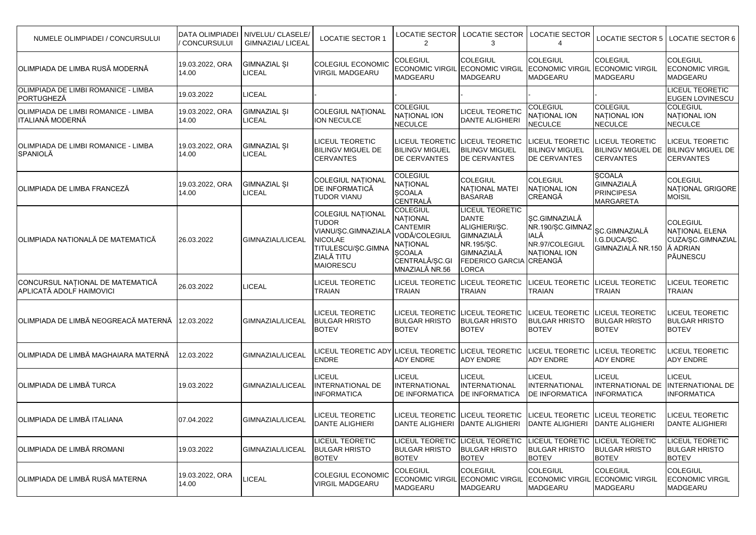| NUMELE OLIMPIADEI / CONCURSULUI                                     | <b>DATA OLIMPIADEI</b><br><b>CONCURSULUI</b> | NIVELUL/ CLASELE/<br><b>GIMNAZIAL/ LICEAL</b> | <b>LOCATIE SECTOR 1</b>                                                                                                                   | <b>LOCATIE SECTOR</b><br>$\overline{2}$                                                                                                 | <b>LOCATIE SECTOR</b><br>3                                                                                                            | LOCATIE SECTOR<br>4                                                                       | <b>LOCATIE SECTOR 5</b>                                                     | <b>LOCATIE SECTOR 6</b>                                                        |
|---------------------------------------------------------------------|----------------------------------------------|-----------------------------------------------|-------------------------------------------------------------------------------------------------------------------------------------------|-----------------------------------------------------------------------------------------------------------------------------------------|---------------------------------------------------------------------------------------------------------------------------------------|-------------------------------------------------------------------------------------------|-----------------------------------------------------------------------------|--------------------------------------------------------------------------------|
| OLIMPIADA DE LIMBA RUSĂ MODERNĂ                                     | 19.03.2022, ORA<br>14.00                     | <b>GIMNAZIAL SI</b><br><b>LICEAL</b>          | <b>COLEGIUL ECONOMIC</b><br><b>VIRGIL MADGEARU</b>                                                                                        | <b>COLEGIUL</b><br><b>MADGEARU</b>                                                                                                      | <b>COLEGIUL</b><br><b>ECONOMIC VIRGIL ECONOMIC VIRGIL</b><br><b>MADGEARU</b>                                                          | <b>COLEGIUL</b><br><b>ECONOMIC VIRGIL</b><br>MADGEARU                                     | <b>COLEGIUL</b><br><b>ECONOMIC VIRGIL</b><br>MADGEARU                       | <b>COLEGIUL</b><br><b>ECONOMIC VIRGIL</b><br><b>MADGEARU</b>                   |
| OLIMPIADA DE LIMBI ROMANICE - LIMBA<br>PORTUGHEZĂ                   | 19.03.2022                                   | <b>LICEAL</b>                                 |                                                                                                                                           |                                                                                                                                         |                                                                                                                                       |                                                                                           |                                                                             | <b>LICEUL TEORETIC</b><br>EUGEN LOVINESCU                                      |
| OLIMPIADA DE LIMBI ROMANICE - LIMBA<br><b>ITALIANĂ MODERNĂ</b>      | 19.03.2022, ORA<br>14.00                     | <b>GIMNAZIAL ȘI</b><br><b>LICEAL</b>          | <b>COLEGIUL NAȚIONAL</b><br>ION NECULCE                                                                                                   | <b>COLEGIUL</b><br>NATIONAL ION<br><b>NECULCE</b>                                                                                       | LICEUL TEORETIC<br><b>DANTE ALIGHIERI</b>                                                                                             | <b>COLEGIUL</b><br>NATIONAL ION<br><b>NECULCE</b>                                         | <b>COLEGIUL</b><br>NATIONAL ION<br><b>NECULCE</b>                           | <b>COLEGIUL</b><br><b>NATIONAL ION</b><br><b>NECULCE</b>                       |
| OLIMPIADA DE LIMBI ROMANICE - LIMBA<br>SPANIOLĂ                     | 19.03.2022, ORA<br>14.00                     | <b>GIMNAZIAL SI</b><br><b>LICEAL</b>          | <b>LICEUL TEORETIC</b><br><b>BILINGV MIGUEL DE</b><br><b>CERVANTES</b>                                                                    | <b>LICEUL TEORETIC</b><br><b>BILINGV MIGUEL</b><br><b>DE CERVANTES</b>                                                                  | <b>LICEUL TEORETIC</b><br><b>BILINGV MIGUEL</b><br><b>DE CERVANTES</b>                                                                | LICEUL TEORETIC<br><b>BILINGV MIGUEL</b><br><b>DE CERVANTES</b>                           | <b>LICEUL TEORETIC</b><br><b>BILINGV MIGUEL DE</b><br><b>CERVANTES</b>      | <b>ICEUL TEORETIC</b><br><b>BILINGV MIGUEL DE</b><br><b>CERVANTES</b>          |
| OLIMPIADA DE LIMBA FRANCEZĂ                                         | 19.03.2022, ORA<br>14.00                     | <b>GIMNAZIAL ȘI</b><br><b>LICEAL</b>          | <b>COLEGIUL NATIONAL</b><br>DE INFORMATICĂ<br><b>TUDOR VIANU</b>                                                                          | <b>COLEGIUL</b><br><b>NATIONAL</b><br><b>ŞCOALA</b><br><b>CENTRALĂ</b>                                                                  | <b>COLEGIUL</b><br>NATIONAL MATEI<br><b>BASARAB</b>                                                                                   | COLEGIUL<br>NATIONAL ION<br>CREANGĂ                                                       | <b>SCOALA</b><br><b>GIMNAZIALĂ</b><br><b>PRINCIPESA</b><br><b>MARGARETA</b> | <b>COLEGIUL</b><br>NAȚIONAL GRIGORE<br>MOISIL                                  |
| ÍOLIMPIADA NATIONALĂ DE MATEMATICĂ                                  | 26.03.2022                                   | GIMNAZIAL/LICEAL                              | <b>COLEGIUL NATIONAL</b><br><b>TUDOR</b><br>VIANU/ȘC.GIMNAZIALA<br><b>NICOLAE</b><br>TITULESCU/ȘC.GIMNA<br>ZIALĂ TITU<br><b>MAIORESCU</b> | <b>COLEGIUL</b><br>NATIONAL<br><b>CANTEMIR</b><br>VODĂ/COLEGIUL<br><b>NATIONAL</b><br><b>SCOALA</b><br>CENTRALĂ/ȘC.GI<br>MNAZIALĂ NR.56 | <b>LICEUL TEORETIC</b><br><b>DANTE</b><br>ALIGHIERI/SC.<br>GIMNAZIALĂ<br>NR.195/SC.<br>GIMNAZIALĂ<br>FEDERICO GARCIA CREANGĂ<br>LORCA | SC.GIMNAZIALĂ<br>NR.190/SC.GIMNAZ<br><b>IALĂ</b><br>NR.97/COLEGIUL<br><b>NATIONAL ION</b> | <b>ŞC.GIMNAZIALĂ</b><br>I.G.DUCA/ȘC.<br>GIMNAZIALĂ NR.150                   | <b>COLEGIUL</b><br>NATIONAL ELENA<br>CUZA/ȘC.GIMNAZIAL<br>Å ADRIAN<br>PĂUNESCU |
| CONCURSUL NATIONAL DE MATEMATICĂ<br><b>APLICATĂ ADOLF HAIMOVICI</b> | 26.03.2022                                   | <b>LICEAL</b>                                 | <b>LICEUL TEORETIC</b><br><b>TRAIAN</b>                                                                                                   | <b>LICEUL TEORETIC</b><br>TRAIAN                                                                                                        | <b>LICEUL TEORETIC</b><br>TRAIAN                                                                                                      | <b>LICEUL TEORETIC</b><br>TRAIAN                                                          | <b>LICEUL TEORETIC</b><br>TRAIAN                                            | <b>ICEUL TEORETIC</b><br>TRAIAN                                                |
| ÍOLIMPIADA DE LIMBĂ NEOGREACĂ MATERNĂ                               | 12.03.2022                                   | GIMNAZIAL/LICEAL                              | LICEUL TEORETIC<br><b>BULGAR HRISTO</b><br><b>BOTEV</b>                                                                                   | <b>LICEUL TEORETIC</b><br><b>BULGAR HRISTO</b><br><b>BOTEV</b>                                                                          | <b>LICEUL TEORETIC</b><br><b>BULGAR HRISTO</b><br><b>BOTEV</b>                                                                        | LICEUL TEORETIC<br><b>BULGAR HRISTO</b><br><b>BOTEV</b>                                   | <b>LICEUL TEORETIC</b><br><b>BULGAR HRISTO</b><br><b>BOTEV</b>              | <b>ICEUL TEORETIC</b><br><b>BULGAR HRISTO</b><br><b>BOTEV</b>                  |
| OLIMPIADA DE LIMBĂ MAGHAIARA MATERNĂ                                | 12.03.2022                                   | GIMNAZIAL/LICEAL                              | LICEUL TEORETIC ADY<br><b>ENDRE</b>                                                                                                       | <b>LICEUL TEORETIC</b><br>ADY ENDRE                                                                                                     | LICEUL TEORETIC<br><b>ADY ENDRE</b>                                                                                                   | <b>ICEUL TEORETIC</b><br><b>ADY ENDRE</b>                                                 | <b>LICEUL TEORETIC</b><br><b>ADY ENDRE</b>                                  | <b>ICEUL TEORETIC</b><br><b>ADY ENDRE</b>                                      |
| IOLIMPIADA DE LIMBĂ TURCA                                           | 19.03.2022                                   | GIMNAZIAL/LICEAL                              | <b>LICEUL</b><br><b>INTERNATIONAL DE</b><br><b>INFORMATICA</b>                                                                            | LICEUL<br>INTERNATIONAL<br><b>DE INFORMATICA</b>                                                                                        | <b>LICEUL</b><br><b>INTERNATIONAL</b><br><b>DE INFORMATICA</b>                                                                        | LICEUL<br><b>INTERNATIONAL</b><br><b>DE INFORMATICA</b>                                   | LICEUL<br><b>INTERNATIONAL DE</b><br><b>INFORMATICA</b>                     | LICEUL<br><b>INTERNATIONAL DE</b><br><b>INFORMATICA</b>                        |
| OLIMPIADA DE LIMBĂ ITALIANA                                         | 07.04.2022                                   | GIMNAZIAL/LICEAL                              | LICEUL TEORETIC<br><b>DANTE ALIGHIERI</b>                                                                                                 | <b>LICEUL TEORETIC</b><br>DANTE ALIGHIERI DANTE ALIGHIERI                                                                               | <b>LICEUL TEORETIC</b>                                                                                                                | LICEUL TEORETIC<br>DANTE ALIGHIERI                                                        | <b>LICEUL TEORETIC</b><br><b>DANTE ALIGHIERI</b>                            | <b>ICEUL TEORETIC</b><br><b>DANTE ALIGHIERI</b>                                |
| <b>OLIMPIADA DE LIMBĂ RROMANI</b>                                   | 19.03.2022                                   | GIMNAZIAL/LICEAL                              | <b>LICEUL TEORETIC</b><br><b>BULGAR HRISTO</b><br><b>BOTEV</b>                                                                            | <b>BULGAR HRISTO</b><br><b>BOTEV</b>                                                                                                    | LICEUL TEORETIC LICEUL TEORETIC<br><b>BULGAR HRISTO</b><br><b>BOTEV</b>                                                               | <b>LICEUL TEORETIC</b><br><b>BULGAR HRISTO</b><br><b>BOTEV</b>                            | <b>LICEUL TEORETIC</b><br><b>BULGAR HRISTO</b><br><b>BOTEV</b>              | LICEUL TEORETIC<br><b>BULGAR HRISTO</b><br><b>BOTEV</b>                        |
| OLIMPIADA DE LIMBĂ RUSĂ MATERNA                                     | 19.03.2022, ORA<br>14.00                     | LICEAL                                        | <b>COLEGIUL ECONOMIC</b><br><b>VIRGIL MADGEARU</b>                                                                                        | <b>COLEGIUL</b><br><b>ECONOMIC VIRGIL</b><br><b>MADGEARU</b>                                                                            | <b>COLEGIUL</b><br><b>ECONOMIC VIRGIL</b><br><b>MADGEARU</b>                                                                          | <b>COLEGIUL</b><br><b>ECONOMIC VIRGIL</b><br>MADGEARU                                     | <b>COLEGIUL</b><br><b>ECONOMIC VIRGIL</b><br><b>MADGEARU</b>                | <b>COLEGIUL</b><br><b>ECONOMIC VIRGIL</b><br><b>MADGEARU</b>                   |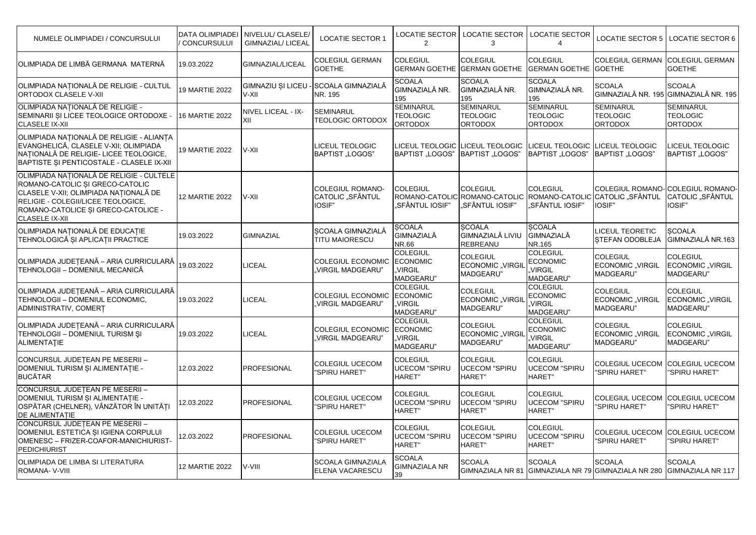| NUMELE OLIMPIADEI / CONCURSULUI                                                                                                                                                                                            | <b>DATA OLIMPIADEI</b><br>CONCURSULUI | NIVELUL/ CLASELE/<br><b>GIMNAZIAL/ LICEAL</b> | <b>LOCATIE SECTOR 1</b>                               | <b>LOCATIE SECTOR</b><br>2                                 | <b>LOCATIE SECTOR</b><br>3                                                         | <b>LOCATIE SECTOR</b>                                      | <b>LOCATIE SECTOR 5</b>                                              | <b>LOCATIE SECTOR 6</b>                                       |
|----------------------------------------------------------------------------------------------------------------------------------------------------------------------------------------------------------------------------|---------------------------------------|-----------------------------------------------|-------------------------------------------------------|------------------------------------------------------------|------------------------------------------------------------------------------------|------------------------------------------------------------|----------------------------------------------------------------------|---------------------------------------------------------------|
| OLIMPIADA DE LIMBĂ GERMANA MATERNĂ                                                                                                                                                                                         | 19.03.2022                            | GIMNAZIAL/LICEAL                              | <b>COLEGIUL GERMAN</b><br><b>GOETHE</b>               | <b>COLEGIUL</b>                                            | <b>COLEGIUL</b><br><b>GERMAN GOETHE GERMAN GOETHE</b>                              | <b>COLEGIUL</b><br><b>GERMAN GOETHE</b>                    | <b>COLEGIUL GERMAN</b><br><b>GOETHE</b>                              | <b>COLEGIUL GERMAN</b><br><b>GOETHE</b>                       |
| OLIMPIADA NAȚIONALĂ DE RELIGIE - CULTUL<br><b>ORTODOX CLASELE V-XII</b>                                                                                                                                                    | <b>19 MARTIE 2022</b>                 | GIMNAZIU ȘI LICEU<br>V-XII                    | SCOALA GIMNAZIALĂ<br>NR. 195                          | <b>SCOALA</b><br>GIMNAZIALĂ NR.<br>195                     | <b>SCOALA</b><br>GIMNAZIALĂ NR.<br>195                                             | <b>SCOALA</b><br>GIMNAZIALĂ NR.<br>195                     | <b>SCOALA</b>                                                        | <b>SCOALA</b><br>GIMNAZIALĂ NR. 195 GIMNAZIALĂ NR. 195        |
| OLIMPIADA NATIONALĂ DE RELIGIE -<br>SEMINARII ȘI LICEE TEOLOGICE ORTODOXE -<br><b>CLASELE IX-XII</b>                                                                                                                       | 16 MARTIE 2022                        | NIVEL LICEAL - IX-<br>XII                     | <b>SEMINARUL</b><br><b>TEOLOGIC ORTODOX</b>           | <b>SEMINARUL</b><br><b>TEOLOGIC</b><br><b>ORTODOX</b>      | <b>SEMINARUL</b><br><b>TEOLOGIC</b><br><b>ORTODOX</b>                              | <b>SEMINARUL</b><br><b>TEOLOGIC</b><br><b>ORTODOX</b>      | <b>SEMINARUL</b><br><b>TEOLOGIC</b><br><b>ORTODOX</b>                | <b>SEMINARUL</b><br><b>TEOLOGIC</b><br><b>ORTODOX</b>         |
| OLIMPIADA NAȚIONALĂ DE RELIGIE - ALIANȚA<br>EVANGHELICĂ, CLASELE V-XII; OLIMPIADA<br>NATIONALĂ DE RELIGIE- LICEE TEOLOGICE,<br>BAPTISTE ȘI PENTICOSTALE - CLASELE IX-XII                                                   | 19 MARTIE 2022                        | V-XII                                         | LICEUL TEOLOGIC<br><b>BAPTIST "LOGOS"</b>             | <b>BAPTIST "LOGOS"</b>                                     | LICEUL TEOLOGIC LICEUL TEOLOGIC<br>BAPTIST "LOGOS'                                 | LICEUL TEOLOGIC<br>BAPTIST "LOGOS"                         | <b>LICEUL TEOLOGIC</b><br><b>BAPTIST "LOGOS"</b>                     | <b>LICEUL TEOLOGIC</b><br><b>BAPTIST "LOGOS"</b>              |
| OLIMPIADA NAȚIONALĂ DE RELIGIE - CULTELE<br>ROMANO-CATOLIC ȘI GRECO-CATOLIC<br>CLASELE V-XII; OLIMPIADA NATIONALĂ DE<br>RELIGIE - COLEGII/LICEE TEOLOGICE.<br>ROMANO-CATOLICE ȘI GRECO-CATOLICE -<br><b>CLASELE IX-XII</b> | 12 MARTIE 2022                        | V-XII                                         | <b>COLEGIUL ROMANO-</b><br>CATOLIC "SFÂNTUL<br>IOSIF" | <b>COLEGIUL</b><br>"SFÂNTUL IOSIF"                         | <b>COLEGIUL</b><br>ROMANO-CATOLIC ROMANO-CATOLIC ROMANO-CATOLIC<br>"SFÂNTUL IOSIF" | <b>COLEGIUL</b><br>"SFÂNTUL IOSIF"                         | <b>COLEGIUL ROMANO-</b><br>ICATOLIC "SFÂNTUL<br>IOSIF"               | <b>COLEGIUL ROMANO-</b><br>CATOLIC "SFÂNTUL<br><b>IOSIF</b> " |
| OLIMPIADA NAȚIONALĂ DE EDUCAȚIE<br>TEHNOLOGICĂ ȘI APLICAȚII PRACTICE                                                                                                                                                       | 19.03.2022                            | <b>GIMNAZIAL</b>                              | SCOALA GIMNAZIALĂ<br><b>TITU MAIORESCU</b>            | <b>SCOALA</b><br><b>GIMNAZIALĂ</b><br>NR.66                | <b>SCOALA</b><br>GIMNAZIALĂ LIVIU<br>REBREANU                                      | <b>SCOALA</b><br><b>GIMNAZIALĂ</b><br>NR.165               | <b>LICEUL TEORETIC</b><br>STEFAN ODOBLEJA                            | <b>SCOALA</b><br>GIMNAZIALĂ NR.163                            |
| OLIMPIADA JUDEȚEANĂ - ARIA CURRICULARĂ<br>TEHNOLOGII - DOMENIUL MECANICĂ                                                                                                                                                   | 19.03.2022                            | LICEAL                                        | <b>COLEGIUL ECONOMIC</b><br>"VIRGIL MADGEARU"         | <b>COLEGIUL</b><br><b>ECONOMIC</b><br>.VIRGIL<br>MADGEARU" | <b>COLEGIUL</b><br><b>ECONOMIC .VIRGIL</b><br>MADGEARU"                            | <b>COLEGIUL</b><br><b>ECONOMIC</b><br>VIRGIL<br>MADGEARU"  | <b>COLEGIUL</b><br>ECONOMIC "VIRGIL<br>MADGEARU"                     | <b>COLEGIUL</b><br>ECONOMIC "VIRGIL<br>MADGEARU"              |
| OLIMPIADA JUDEȚEANĂ - ARIA CURRICULARĂ<br>TEHNOLOGII - DOMENIUL ECONOMIC,<br>ADMINISTRATIV, COMERT                                                                                                                         | 19.03.2022                            | LICEAL                                        | <b>COLEGIUL ECONOMIC</b><br>VIRGIL MADGEARU"          | <b>COLEGIUL</b><br><b>ECONOMIC</b><br>.VIRGIL<br>MADGEARU" | <b>COLEGIUL</b><br>ECONOMIC "VIRGII<br><b>MADGEARU"</b>                            | <b>COLEGIUL</b><br><b>ECONOMIC</b><br>VIRGIL,<br>MADGEARU" | <b>COLEGIUL</b><br>ECONOMIC "VIRGIL<br>MADGEARU"                     | <b>COLEGIUL</b><br>ECONOMIC "VIRGIL<br>MADGEARU"              |
| OLIMPIADA JUDEȚEANĂ - ARIA CURRICULARĂ<br>TEHNOLOGII - DOMENIUL TURISM ȘI<br>ALIMENTATIE                                                                                                                                   | 19.03.2022                            | LICEAL                                        | <b>COLEGIUL ECONOMIC</b><br>VIRGIL MADGEARU"          | <b>COLEGIUL</b><br><b>ECONOMIC</b><br>.VIRGIL<br>MADGEARU" | <b>COLEGIUL</b><br><b>ECONOMIC .VIRGI</b><br>MADGEARU"                             | <b>COLEGIUL</b><br><b>ECONOMIC</b><br>VIRGIL<br>MADGEARU"  | <b>COLEGIUL</b><br><b>ECONOMIC VIRGIL</b><br>MADGEARU"               | COLEGIUL<br><b>ECONOMIC .VIRGIL</b><br>MADGEARU"              |
| CONCURSUL JUDEȚEAN PE MESERII -<br>DOMENIUL TURISM ȘI ALIMENTAȚIE -<br><b>BUCĂTAR</b>                                                                                                                                      | 12.03.2022                            | PROFESIONAL                                   | <b>COLEGIUL UCECOM</b><br>"SPIRU HARET"               | <b>COLEGIUL</b><br><b>UCECOM "SPIRU</b><br>HARET"          | <b>COLEGIUL</b><br><b>UCECOM "SPIRU</b><br>HARET"                                  | <b>COLEGIUL</b><br><b>UCECOM "SPIRU</b><br>HARET"          | <b>COLEGIUL UCECOM</b><br>"SPIRU HARET"                              | <b>COLEGIUL UCECOM</b><br>"SPIRU HARET"                       |
| CONCURSUL JUDETEAN PE MESERII -<br>DOMENIUL TURISM ȘI ALIMENTAȚIE -<br>OSPĂTAR (CHELNER), VÂNZĂTOR ÎN UNITĂȚI<br><b>DE ALIMENTATIE</b>                                                                                     | 12.03.2022                            | <b>PROFESIONAL</b>                            | <b>COLEGIUL UCECOM</b><br>'SPIRU HARET"               | <b>COLEGIUL</b><br><b>UCECOM "SPIRU</b><br>HARET"          | <b>COLEGIUL</b><br><b>UCECOM "SPIRU</b><br>HARET"                                  | <b>COLEGIUL</b><br><b>UCECOM "SPIRU</b><br><b>HARET"</b>   | <b>COLEGIUL UCECOM</b><br>"SPIRU HARET"                              | COLEGIUL UCECOM<br>"SPIRU HARET"                              |
| CONCURSUL JUDEȚEAN PE MESERII -<br>DOMENIUL ESTETICA ȘI IGIENA CORPULUI<br>OMENESC - FRIZER-COAFOR-MANICHIURIST-<br><b>PEDICHIURIST</b>                                                                                    | 12.03.2022                            | <b>PROFESIONAL</b>                            | <b>COLEGIUL UCECOM</b><br>'SPIRU HARET"               | <b>COLEGIUL</b><br><b>UCECOM "SPIRU</b><br>HARET"          | <b>COLEGIUL</b><br><b>UCECOM "SPIRU</b><br>HARET"                                  | <b>COLEGIUL</b><br><b>UCECOM "SPIRU</b><br>HARET"          | <b>COLEGIUL UCECOM</b><br>"SPIRU HARET"                              | <b>COLEGIUL UCECOM</b><br>"SPIRU HARET"                       |
| OLIMPIADA DE LIMBA SI LITERATURA<br>ROMANA-V-VIII                                                                                                                                                                          | 12 MARTIE 2022                        | V-VIII                                        | <b>SCOALA GIMNAZIALA</b><br>ELENA VACARESCU           | <b>SCOALA</b><br><b>GIMNAZIALA NR</b><br>39                | <b>SCOALA</b>                                                                      | <b>SCOALA</b>                                              | <b>SCOALA</b><br>GIMNAZIALA NR 81 GIMNAZIALA NR 79 GIMNAZIALA NR 280 | <b>SCOALA</b><br>GIMNAZIALA NR 117                            |